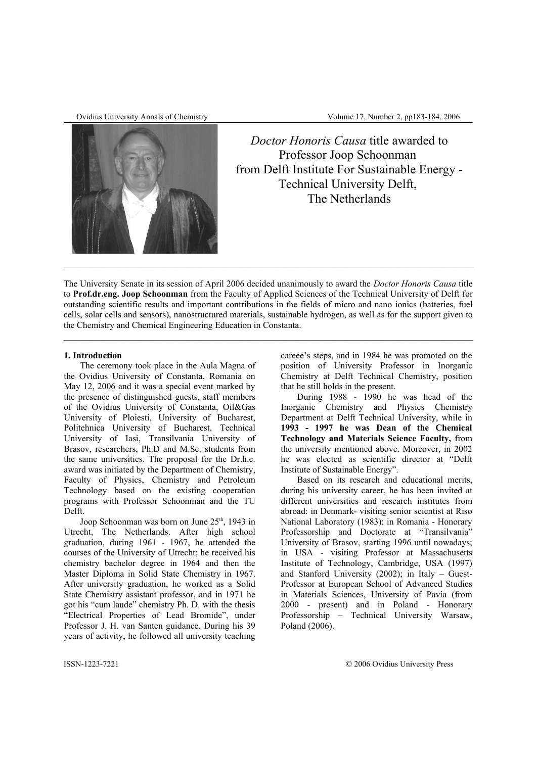

Ovidius University Annals of Chemistry Volume 17, Number 2, pp183-184, 2006

*Doctor Honoris Causa* title awarded to Professor Joop Schoonman from Delft Institute For Sustainable Energy - Technical University Delft, The Netherlands

The University Senate in its session of April 2006 decided unanimously to award the *Doctor Honoris Causa* title to **Prof.dr.eng. Joop Schoonman** from the Faculty of Applied Sciences of the Technical University of Delft for outstanding scientific results and important contributions in the fields of micro and nano ionics (batteries, fuel cells, solar cells and sensors), nanostructured materials, sustainable hydrogen, as well as for the support given to the Chemistry and Chemical Engineering Education in Constanta.

## **1. Introduction**

The ceremony took place in the Aula Magna of the Ovidius University of Constanta, Romania on May 12, 2006 and it was a special event marked by the presence of distinguished guests, staff members of the Ovidius University of Constanta, Oil&Gas University of Ploiesti, University of Bucharest, Politehnica University of Bucharest, Technical University of Iasi, Transilvania University of Brasov, researchers, Ph.D and M.Sc. students from the same universities. The proposal for the Dr.h.c. award was initiated by the Department of Chemistry, Faculty of Physics, Chemistry and Petroleum Technology based on the existing cooperation programs with Professor Schoonman and the TU Delft.

Joop Schoonman was born on June 25<sup>th</sup>, 1943 in Utrecht, The Netherlands. After high school graduation, during 1961 - 1967, he attended the courses of the University of Utrecht; he received his chemistry bachelor degree in 1964 and then the Master Diploma in Solid State Chemistry in 1967. After university graduation, he worked as a Solid State Chemistry assistant professor, and in 1971 he got his "cum laude" chemistry Ph. D. with the thesis "Electrical Properties of Lead Bromide", under Professor J. H. van Santen guidance. During his 39 years of activity, he followed all university teaching

careee's steps, and in 1984 he was promoted on the position of University Professor in Inorganic Chemistry at Delft Technical Chemistry, position that he still holds in the present.

During 1988 - 1990 he was head of the Inorganic Chemistry and Physics Chemistry Department at Delft Technical University, while in **1993 - 1997 he was Dean of the Chemical Technology and Materials Science Faculty,** from the university mentioned above. Moreover, in 2002 he was elected as scientific director at "Delft Institute of Sustainable Energy".

Based on its research and educational merits, during his university career, he has been invited at different universities and research institutes from abroad: in Denmark- visiting senior scientist at Risø National Laboratory (1983); in Romania - Honorary Professorship and Doctorate at "Transilvania" University of Brasov, starting 1996 until nowadays; in USA - visiting Professor at Massachusetts Institute of Technology, Cambridge, USA (1997) and Stanford University (2002); in Italy – Guest-Professor at European School of Advanced Studies in Materials Sciences, University of Pavia (from 2000 - present) and in Poland - Honorary Professorship – Technical University Warsaw, Poland (2006).